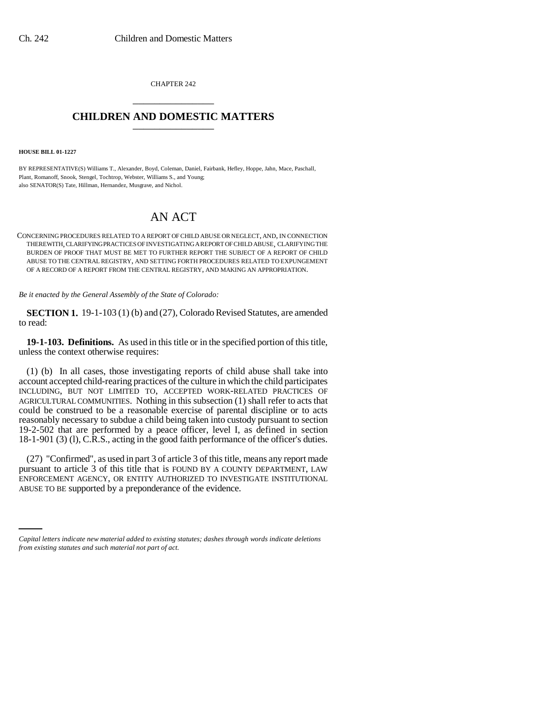CHAPTER 242 \_\_\_\_\_\_\_\_\_\_\_\_\_\_\_

## **CHILDREN AND DOMESTIC MATTERS** \_\_\_\_\_\_\_\_\_\_\_\_\_\_\_

**HOUSE BILL 01-1227**

BY REPRESENTATIVE(S) Williams T., Alexander, Boyd, Coleman, Daniel, Fairbank, Hefley, Hoppe, Jahn, Mace, Paschall, Plant, Romanoff, Snook, Stengel, Tochtrop, Webster, Williams S., and Young; also SENATOR(S) Tate, Hillman, Hernandez, Musgrave, and Nichol.

## AN ACT

CONCERNING PROCEDURES RELATED TO A REPORT OF CHILD ABUSE OR NEGLECT, AND, IN CONNECTION THEREWITH, CLARIFYING PRACTICES OF INVESTIGATING A REPORT OF CHILD ABUSE, CLARIFYING THE BURDEN OF PROOF THAT MUST BE MET TO FURTHER REPORT THE SUBJECT OF A REPORT OF CHILD ABUSE TO THE CENTRAL REGISTRY, AND SETTING FORTH PROCEDURES RELATED TO EXPUNGEMENT OF A RECORD OF A REPORT FROM THE CENTRAL REGISTRY, AND MAKING AN APPROPRIATION.

*Be it enacted by the General Assembly of the State of Colorado:*

**SECTION 1.** 19-1-103 (1) (b) and (27), Colorado Revised Statutes, are amended to read:

**19-1-103. Definitions.** As used in this title or in the specified portion of this title, unless the context otherwise requires:

(1) (b) In all cases, those investigating reports of child abuse shall take into account accepted child-rearing practices of the culture in which the child participates INCLUDING, BUT NOT LIMITED TO, ACCEPTED WORK-RELATED PRACTICES OF AGRICULTURAL COMMUNITIES. Nothing in this subsection (1) shall refer to acts that could be construed to be a reasonable exercise of parental discipline or to acts reasonably necessary to subdue a child being taken into custody pursuant to section 19-2-502 that are performed by a peace officer, level I, as defined in section 18-1-901 (3) (l), C.R.S., acting in the good faith performance of the officer's duties.

ENFORCEMENT AGENCY, OR ENTITY AUTHORIZED TO INVESTIGATE INSTITUTIONAL (27) "Confirmed", as used in part 3 of article 3 of this title, means any report made pursuant to article 3 of this title that is FOUND BY A COUNTY DEPARTMENT, LAW ABUSE TO BE supported by a preponderance of the evidence.

*Capital letters indicate new material added to existing statutes; dashes through words indicate deletions from existing statutes and such material not part of act.*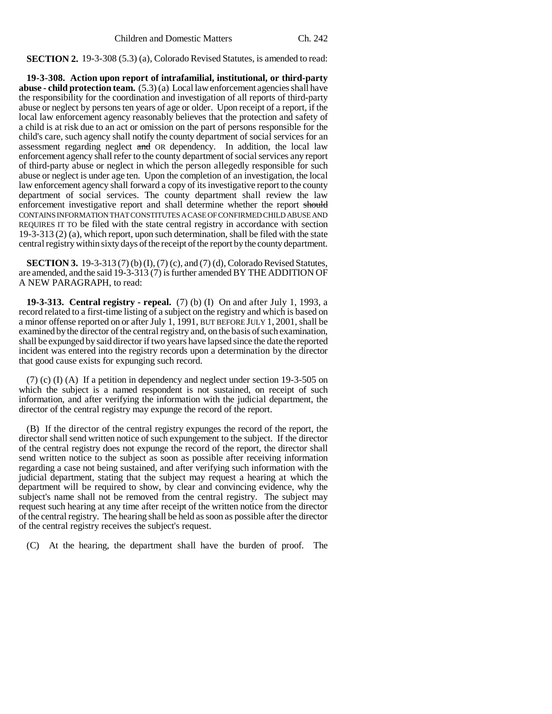**SECTION 2.** 19-3-308 (5.3) (a), Colorado Revised Statutes, is amended to read:

**19-3-308. Action upon report of intrafamilial, institutional, or third-party abuse - child protection team.** (5.3) (a) Local law enforcement agencies shall have the responsibility for the coordination and investigation of all reports of third-party abuse or neglect by persons ten years of age or older. Upon receipt of a report, if the local law enforcement agency reasonably believes that the protection and safety of a child is at risk due to an act or omission on the part of persons responsible for the child's care, such agency shall notify the county department of social services for an assessment regarding neglect and OR dependency. In addition, the local law enforcement agency shall refer to the county department of social services any report of third-party abuse or neglect in which the person allegedly responsible for such abuse or neglect is under age ten. Upon the completion of an investigation, the local law enforcement agency shall forward a copy of its investigative report to the county department of social services. The county department shall review the law enforcement investigative report and shall determine whether the report should CONTAINS INFORMATION THAT CONSTITUTES A CASE OF CONFIRMED CHILD ABUSE AND REQUIRES IT TO be filed with the state central registry in accordance with section 19-3-313 (2) (a), which report, upon such determination, shall be filed with the state central registry within sixty days of the receipt of the report by the county department.

**SECTION 3.** 19-3-313 (7) (b) (I), (7) (c), and (7) (d), Colorado Revised Statutes, are amended, and the said 19-3-313 (7) is further amended BY THE ADDITION OF A NEW PARAGRAPH, to read:

**19-3-313. Central registry - repeal.** (7) (b) (I) On and after July 1, 1993, a record related to a first-time listing of a subject on the registry and which is based on a minor offense reported on or after July 1, 1991, BUT BEFORE JULY 1, 2001, shall be examined by the director of the central registry and, on the basis of such examination, shall be expunged by said director if two years have lapsed since the date the reported incident was entered into the registry records upon a determination by the director that good cause exists for expunging such record.

(7) (c) (I) (A) If a petition in dependency and neglect under section 19-3-505 on which the subject is a named respondent is not sustained, on receipt of such information, and after verifying the information with the judicial department, the director of the central registry may expunge the record of the report.

(B) If the director of the central registry expunges the record of the report, the director shall send written notice of such expungement to the subject. If the director of the central registry does not expunge the record of the report, the director shall send written notice to the subject as soon as possible after receiving information regarding a case not being sustained, and after verifying such information with the judicial department, stating that the subject may request a hearing at which the department will be required to show, by clear and convincing evidence, why the subject's name shall not be removed from the central registry. The subject may request such hearing at any time after receipt of the written notice from the director of the central registry. The hearing shall be held as soon as possible after the director of the central registry receives the subject's request.

(C) At the hearing, the department shall have the burden of proof. The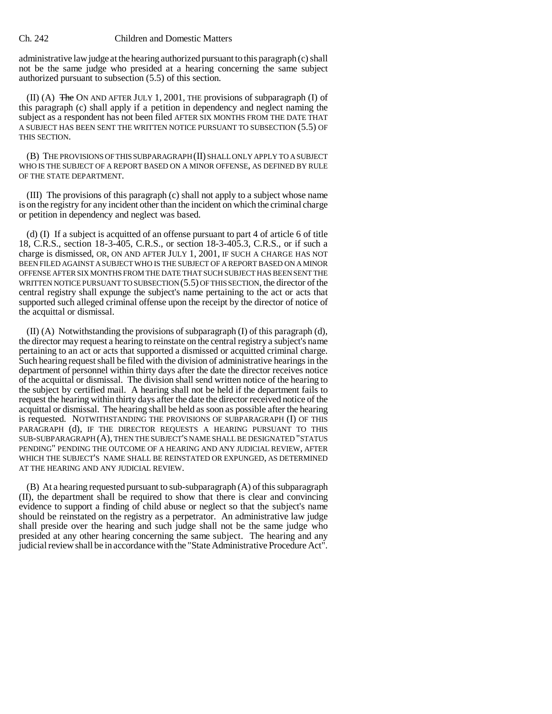## Ch. 242 Children and Domestic Matters

administrative law judge at the hearing authorized pursuant to this paragraph (c) shall not be the same judge who presided at a hearing concerning the same subject authorized pursuant to subsection (5.5) of this section.

(II) (A)  $\overline{f}$  The ON AND AFTER JULY 1, 2001, THE provisions of subparagraph (I) of this paragraph (c) shall apply if a petition in dependency and neglect naming the subject as a respondent has not been filed AFTER SIX MONTHS FROM THE DATE THAT A SUBJECT HAS BEEN SENT THE WRITTEN NOTICE PURSUANT TO SUBSECTION (5.5) OF THIS SECTION.

(B) THE PROVISIONS OF THIS SUBPARAGRAPH (II) SHALL ONLY APPLY TO A SUBJECT WHO IS THE SUBJECT OF A REPORT BASED ON A MINOR OFFENSE, AS DEFINED BY RULE OF THE STATE DEPARTMENT.

(III) The provisions of this paragraph (c) shall not apply to a subject whose name is on the registry for any incident other than the incident on which the criminal charge or petition in dependency and neglect was based.

(d) (I) If a subject is acquitted of an offense pursuant to part 4 of article 6 of title 18, C.R.S., section 18-3-405, C.R.S., or section 18-3-405.3, C.R.S., or if such a charge is dismissed, OR, ON AND AFTER JULY 1, 2001, IF SUCH A CHARGE HAS NOT BEEN FILED AGAINST A SUBJECT WHO IS THE SUBJECT OF A REPORT BASED ON A MINOR OFFENSE AFTER SIX MONTHS FROM THE DATE THAT SUCH SUBJECT HAS BEEN SENT THE WRITTEN NOTICE PURSUANT TO SUBSECTION (5.5) OF THIS SECTION, the director of the central registry shall expunge the subject's name pertaining to the act or acts that supported such alleged criminal offense upon the receipt by the director of notice of the acquittal or dismissal.

(II) (A) Notwithstanding the provisions of subparagraph (I) of this paragraph (d), the director may request a hearing to reinstate on the central registry a subject's name pertaining to an act or acts that supported a dismissed or acquitted criminal charge. Such hearing request shall be filed with the division of administrative hearings in the department of personnel within thirty days after the date the director receives notice of the acquittal or dismissal. The division shall send written notice of the hearing to the subject by certified mail. A hearing shall not be held if the department fails to request the hearing within thirty days after the date the director received notice of the acquittal or dismissal. The hearing shall be held as soon as possible after the hearing is requested. NOTWITHSTANDING THE PROVISIONS OF SUBPARAGRAPH (I) OF THIS PARAGRAPH (d), IF THE DIRECTOR REQUESTS A HEARING PURSUANT TO THIS SUB-SUBPARAGRAPH (A), THEN THE SUBJECT'S NAME SHALL BE DESIGNATED "STATUS PENDING" PENDING THE OUTCOME OF A HEARING AND ANY JUDICIAL REVIEW, AFTER WHICH THE SUBJECT'S NAME SHALL BE REINSTATED OR EXPUNGED, AS DETERMINED AT THE HEARING AND ANY JUDICIAL REVIEW.

(B) At a hearing requested pursuant to sub-subparagraph (A) of this subparagraph (II), the department shall be required to show that there is clear and convincing evidence to support a finding of child abuse or neglect so that the subject's name should be reinstated on the registry as a perpetrator. An administrative law judge shall preside over the hearing and such judge shall not be the same judge who presided at any other hearing concerning the same subject. The hearing and any judicial review shall be in accordance with the "State Administrative Procedure Act".